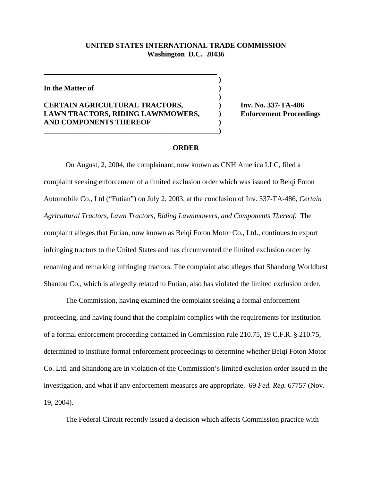## **UNITED STATES INTERNATIONAL TRADE COMMISSION Washington D.C. 20436**

 **)**

**)**

**In the Matter of )**

## **CERTAIN AGRICULTURAL TRACTORS, ) Inv. No. 337-TA-486 LAWN TRACTORS, RIDING LAWNMOWERS, ) Enforcement Proceedings AND COMPONENTS THEREOF )**

**\_\_\_\_\_\_\_\_\_\_\_\_\_\_\_\_\_\_\_\_\_\_\_\_\_\_\_\_\_\_\_\_\_\_\_\_\_\_\_\_\_\_\_\_\_\_\_\_)**

## **ORDER**

On August, 2, 2004, the complainant, now known as CNH America LLC, filed a complaint seeking enforcement of a limited exclusion order which was issued to Beiqi Foton Automobile Co., Ltd ("Futian") on July 2, 2003, at the conclusion of Inv. 337-TA-486, *Certain Agricultural Tractors, Lawn Tractors, Riding Lawnmowers, and Components Thereof*. The complaint alleges that Futian, now known as Beiqi Foton Motor Co., Ltd., continues to export infringing tractors to the United States and has circumvented the limited exclusion order by renaming and remarking infringing tractors. The complaint also alleges that Shandong Worldbest Shantou Co., which is allegedly related to Futian, also has violated the limited exclusion order.

The Commission, having examined the complaint seeking a formal enforcement proceeding, and having found that the complaint complies with the requirements for institution of a formal enforcement proceeding contained in Commission rule 210.75, 19 C.F.R. § 210.75, determined to institute formal enforcement proceedings to determine whether Beiqi Foton Motor Co. Ltd. and Shandong are in violation of the Commission's limited exclusion order issued in the investigation, and what if any enforcement measures are appropriate. 69 *Fed. Reg.* 67757 (Nov. 19, 2004).

The Federal Circuit recently issued a decision which affects Commission practice with